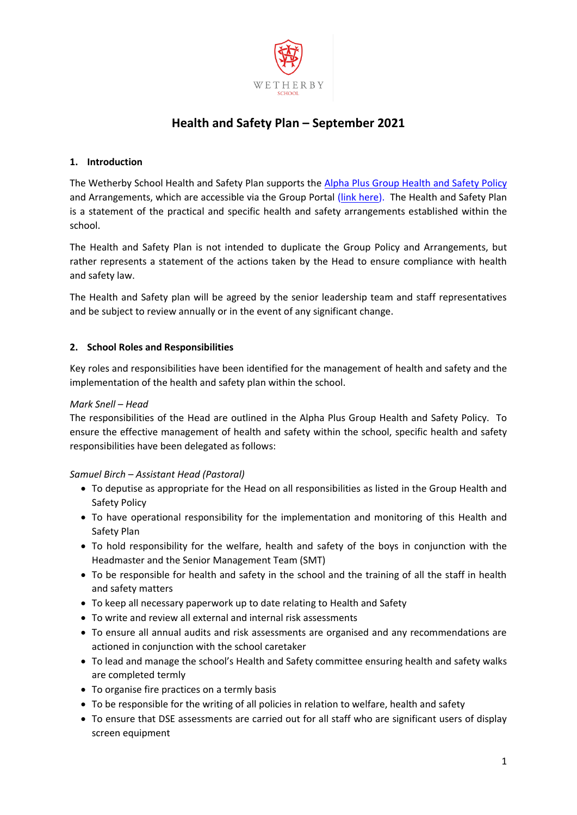

# **Health and Safety Plan – September 2021**

# **1. Introduction**

The Wetherby School Health and Safety Plan supports th[e Alpha Plus Group Health and Safety Policy](https://egiportal.alphaplusgroup.co.uk/Alpha%20Plus%20Group%20Information/Health%20and%20Safety/Policies/Alpha%20Plus%20Group%20Health%20and%20Safety%20Policy%20September%202017.docx) and Arrangements, which are accessible via the Group Portal [\(link here\)](https://egiportal.alphaplusgroup.co.uk/apg-info/Pages/Health-Safety.aspx). The Health and Safety Plan is a statement of the practical and specific health and safety arrangements established within the school.

The Health and Safety Plan is not intended to duplicate the Group Policy and Arrangements, but rather represents a statement of the actions taken by the Head to ensure compliance with health and safety law.

The Health and Safety plan will be agreed by the senior leadership team and staff representatives and be subject to review annually or in the event of any significant change.

# **2. School Roles and Responsibilities**

Key roles and responsibilities have been identified for the management of health and safety and the implementation of the health and safety plan within the school.

# *Mark Snell – Head*

The responsibilities of the Head are outlined in the Alpha Plus Group Health and Safety Policy. To ensure the effective management of health and safety within the school, specific health and safety responsibilities have been delegated as follows:

# *Samuel Birch – Assistant Head (Pastoral)*

- To deputise as appropriate for the Head on all responsibilities as listed in the Group Health and Safety Policy
- To have operational responsibility for the implementation and monitoring of this Health and Safety Plan
- To hold responsibility for the welfare, health and safety of the boys in conjunction with the Headmaster and the Senior Management Team (SMT)
- To be responsible for health and safety in the school and the training of all the staff in health and safety matters
- To keep all necessary paperwork up to date relating to Health and Safety
- To write and review all external and internal risk assessments
- To ensure all annual audits and risk assessments are organised and any recommendations are actioned in conjunction with the school caretaker
- To lead and manage the school's Health and Safety committee ensuring health and safety walks are completed termly
- To organise fire practices on a termly basis
- To be responsible for the writing of all policies in relation to welfare, health and safety
- To ensure that DSE assessments are carried out for all staff who are significant users of display screen equipment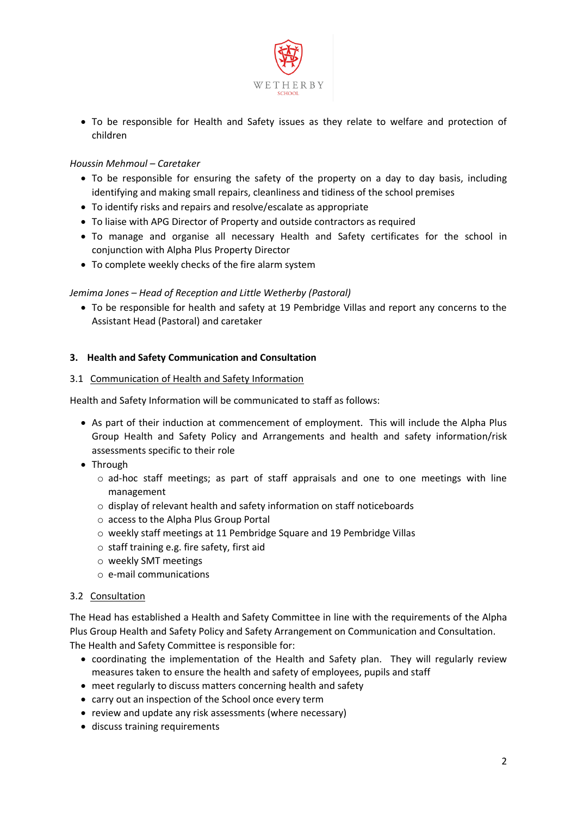

 To be responsible for Health and Safety issues as they relate to welfare and protection of children

# *Houssin Mehmoul – Caretaker*

- To be responsible for ensuring the safety of the property on a day to day basis, including identifying and making small repairs, cleanliness and tidiness of the school premises
- To identify risks and repairs and resolve/escalate as appropriate
- To liaise with APG Director of Property and outside contractors as required
- To manage and organise all necessary Health and Safety certificates for the school in conjunction with Alpha Plus Property Director
- To complete weekly checks of the fire alarm system

# *Jemima Jones – Head of Reception and Little Wetherby (Pastoral)*

 To be responsible for health and safety at 19 Pembridge Villas and report any concerns to the Assistant Head (Pastoral) and caretaker

# **3. Health and Safety Communication and Consultation**

## 3.1 Communication of Health and Safety Information

Health and Safety Information will be communicated to staff as follows:

- As part of their induction at commencement of employment. This will include the Alpha Plus Group Health and Safety Policy and Arrangements and health and safety information/risk assessments specific to their role
- Through
	- $\circ$  ad-hoc staff meetings; as part of staff appraisals and one to one meetings with line management
	- o display of relevant health and safety information on staff noticeboards
	- o access to the Alpha Plus Group Portal
	- o weekly staff meetings at 11 Pembridge Square and 19 Pembridge Villas
	- o staff training e.g. fire safety, first aid
	- o weekly SMT meetings
	- o e-mail communications

#### 3.2 Consultation

The Head has established a Health and Safety Committee in line with the requirements of the Alpha Plus Group Health and Safety Policy and Safety Arrangement on Communication and Consultation. The Health and Safety Committee is responsible for:

- coordinating the implementation of the Health and Safety plan. They will regularly review measures taken to ensure the health and safety of employees, pupils and staff
- meet regularly to discuss matters concerning health and safety
- carry out an inspection of the School once every term
- review and update any risk assessments (where necessary)
- discuss training requirements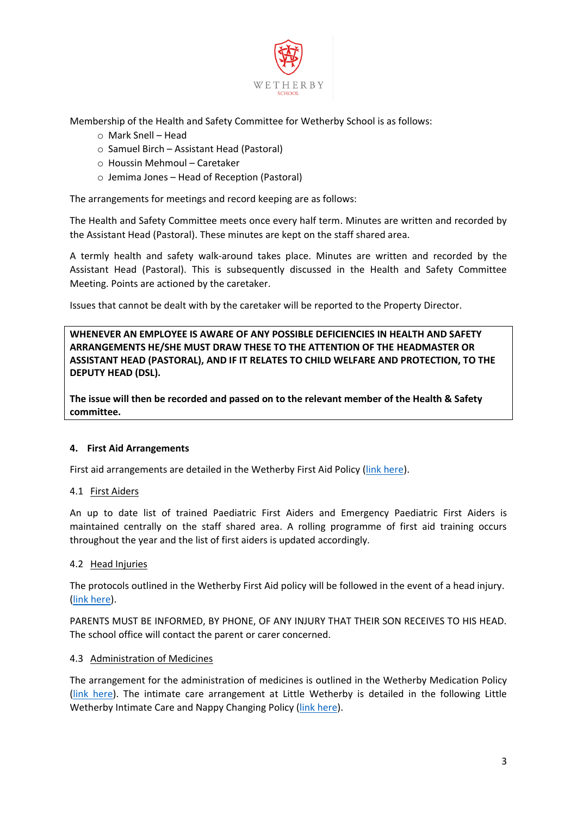

Membership of the Health and Safety Committee for Wetherby School is as follows:

- o Mark Snell Head
- o Samuel Birch Assistant Head (Pastoral)
- o Houssin Mehmoul Caretaker
- o Jemima Jones Head of Reception (Pastoral)

The arrangements for meetings and record keeping are as follows:

The Health and Safety Committee meets once every half term. Minutes are written and recorded by the Assistant Head (Pastoral). These minutes are kept on the staff shared area.

A termly health and safety walk-around takes place. Minutes are written and recorded by the Assistant Head (Pastoral). This is subsequently discussed in the Health and Safety Committee Meeting. Points are actioned by the caretaker.

Issues that cannot be dealt with by the caretaker will be reported to the Property Director.

**WHENEVER AN EMPLOYEE IS AWARE OF ANY POSSIBLE DEFICIENCIES IN HEALTH AND SAFETY ARRANGEMENTS HE/SHE MUST DRAW THESE TO THE ATTENTION OF THE HEADMASTER OR ASSISTANT HEAD (PASTORAL), AND IF IT RELATES TO CHILD WELFARE AND PROTECTION, TO THE DEPUTY HEAD (DSL).** 

**The issue will then be recorded and passed on to the relevant member of the Health & Safety committee.**

# **4. First Aid Arrangements**

First aid arrangements are detailed in the Wetherby First Aid Policy [\(link here\)](https://egiportal.alphaplusgroup.co.uk/school/wpps/Pages/all-documents.aspx).

#### 4.1 First Aiders

An up to date list of trained Paediatric First Aiders and Emergency Paediatric First Aiders is maintained centrally on the staff shared area. A rolling programme of first aid training occurs throughout the year and the list of first aiders is updated accordingly.

#### 4.2 Head Injuries

The protocols outlined in the Wetherby First Aid policy will be followed in the event of a head injury. [\(link here\)](https://egiportal.alphaplusgroup.co.uk/school/wpps/Pages/all-documents.aspx).

PARENTS MUST BE INFORMED, BY PHONE, OF ANY INJURY THAT THEIR SON RECEIVES TO HIS HEAD. The school office will contact the parent or carer concerned.

#### 4.3 Administration of Medicines

The arrangement for the administration of medicines is outlined in the Wetherby Medication Policy [\(link here\)](https://egiportal.alphaplusgroup.co.uk/school/wpps/Pages/all-documents.aspx). The intimate care arrangement at Little Wetherby is detailed in the following Little Wetherby Intimate Care and Nappy Changing Policy [\(link here\)](https://egiportal.alphaplusgroup.co.uk/school/wpps/Pages/all-documents.aspx).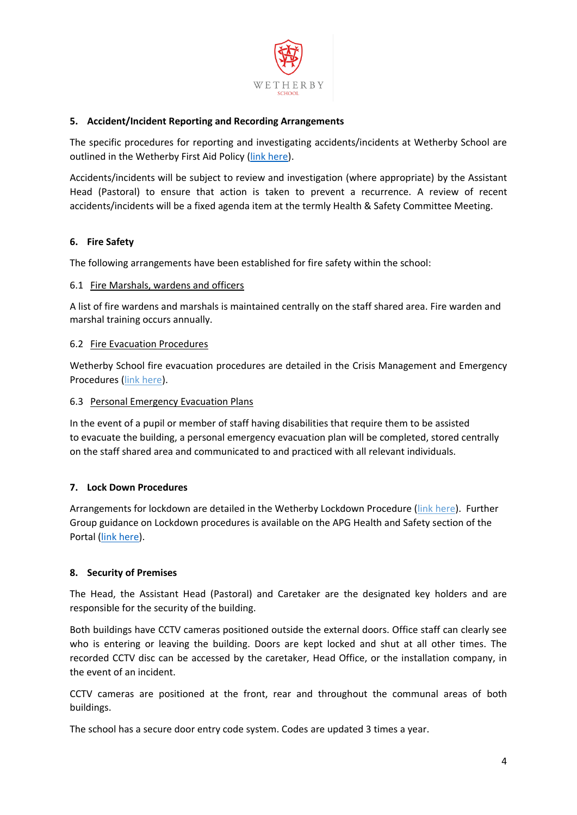

## **5. Accident/Incident Reporting and Recording Arrangements**

The specific procedures for reporting and investigating accidents/incidents at Wetherby School are outlined in the Wetherby First Aid Policy [\(link here\)](https://egiportal.alphaplusgroup.co.uk/school/wpps/Pages/all-documents.aspx).

Accidents/incidents will be subject to review and investigation (where appropriate) by the Assistant Head (Pastoral) to ensure that action is taken to prevent a recurrence. A review of recent accidents/incidents will be a fixed agenda item at the termly Health & Safety Committee Meeting.

## **6. Fire Safety**

The following arrangements have been established for fire safety within the school:

#### 6.1 Fire Marshals, wardens and officers

A list of fire wardens and marshals is maintained centrally on the staff shared area. Fire warden and marshal training occurs annually.

## 6.2 Fire Evacuation Procedures

Wetherby School fire evacuation procedures are detailed in the Crisis Management and Emergency Procedures [\(link here\)](https://egiportal.alphaplusgroup.co.uk/school/wpps/Pages/all-documents.aspx).

## 6.3 Personal Emergency Evacuation Plans

In the event of a pupil or member of staff having disabilities that require them to be assisted to evacuate the building, a personal emergency evacuation plan will be completed, stored centrally on the staff shared area and communicated to and practiced with all relevant individuals.

# **7. Lock Down Procedures**

Arrangements for lockdown are detailed in the Wetherby Lockdown Procedure [\(link here\)](https://egiportal.alphaplusgroup.co.uk/school/wpps/Pages/all-documents.aspx). Further Group guidance on Lockdown procedures is available on the APG Health and Safety section of the Portal [\(link here\)](https://egiportal.alphaplusgroup.co.uk/Alpha%20Plus%20Group%20Information/Health%20and%20Safety/Guidance%20Notes/Lockdown%20Guidance%20for%20Schools%20and%20Colleges.docx).

#### **8. Security of Premises**

The Head, the Assistant Head (Pastoral) and Caretaker are the designated key holders and are responsible for the security of the building.

Both buildings have CCTV cameras positioned outside the external doors. Office staff can clearly see who is entering or leaving the building. Doors are kept locked and shut at all other times. The recorded CCTV disc can be accessed by the caretaker, Head Office, or the installation company, in the event of an incident.

CCTV cameras are positioned at the front, rear and throughout the communal areas of both buildings.

The school has a secure door entry code system. Codes are updated 3 times a year.